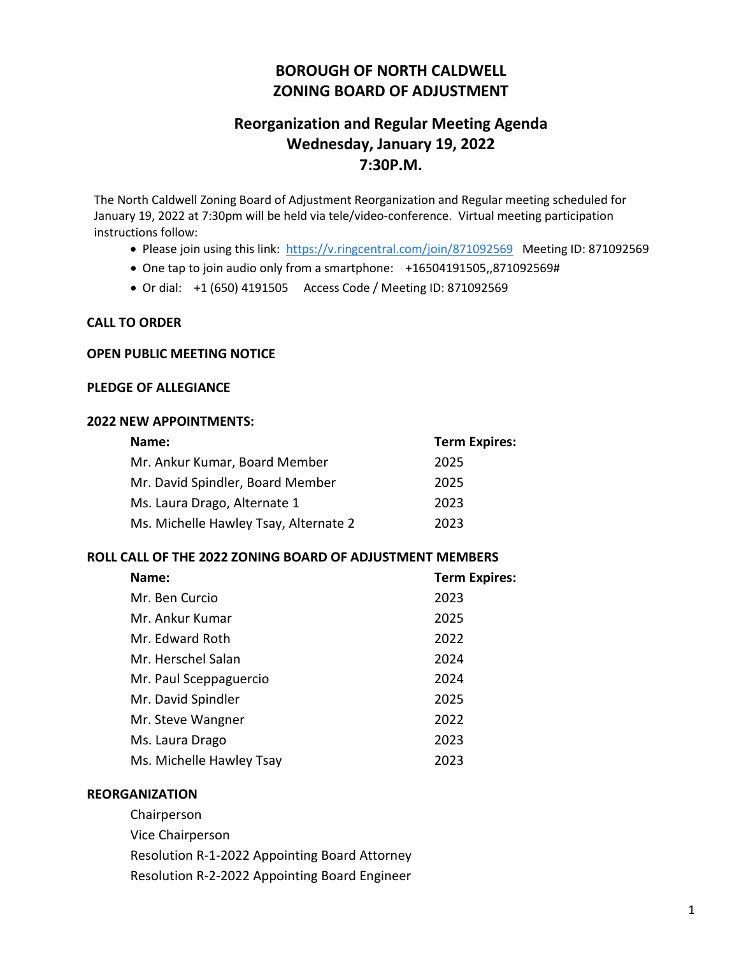# **BOROUGH OF NORTH CALDWELL ZONING BOARD OF ADJUSTMENT**

# **Reorganization and Regular Meeting Agenda Wednesday, January 19, 2022 7:30P.M.**

The North Caldwell Zoning Board of Adjustment Reorganization and Regular meeting scheduled for January 19, 2022 at 7:30pm will be held via tele/video-conference. Virtual meeting participation instructions follow:

- Please join using this link: [https://v.ringcentral.com/join/871092569](https://www.google.com/url?q=https://v.ringcentral.com/join/871092569&sa=D&source=calendar&ust=1639836684761855&usg=AOvVaw24VAcRf4K6SLU71QFFyrfj) Meeting ID: 871092569
- One tap to join audio only from a smartphone: +16504191505,,871092569#
- Or dial: +1 (650) 4191505 Access Code / Meeting ID: 871092569

#### **CALL TO ORDER**

#### **OPEN PUBLIC MEETING NOTICE**

#### **PLEDGE OF ALLEGIANCE**

#### **2022 NEW APPOINTMENTS:**

| Name:                                 | <b>Term Expires:</b> |
|---------------------------------------|----------------------|
| Mr. Ankur Kumar, Board Member         | 2025                 |
| Mr. David Spindler, Board Member      | 2025                 |
| Ms. Laura Drago, Alternate 1          | 2023                 |
| Ms. Michelle Hawley Tsay, Alternate 2 | 2023                 |
|                                       |                      |

#### **ROLL CALL OF THE 2022 ZONING BOARD OF ADJUSTMENT MEMBERS**

| Name:                    | <b>Term Expires:</b> |
|--------------------------|----------------------|
| Mr. Ben Curcio           | 2023                 |
| Mr. Ankur Kumar          | 2025                 |
| Mr. Edward Roth          | 2022                 |
| Mr. Herschel Salan       | 2024                 |
| Mr. Paul Sceppaguercio   | 2024                 |
| Mr. David Spindler       | 2025                 |
| Mr. Steve Wangner        | 2022                 |
| Ms. Laura Drago          | 2023                 |
| Ms. Michelle Hawley Tsay | 2023                 |

#### **REORGANIZATION**

Chairperson Vice Chairperson Resolution R-1-2022 Appointing Board Attorney Resolution R-2-2022 Appointing Board Engineer